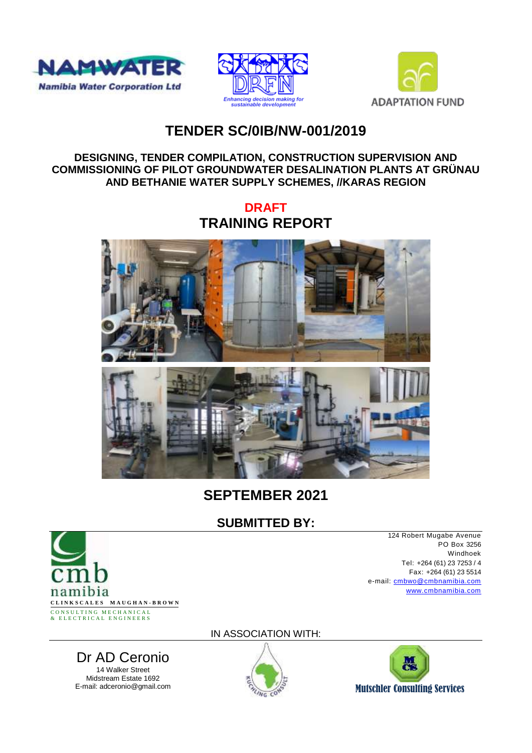





# **TENDER SC/0IB/NW-001/2019**

#### **DESIGNING, TENDER COMPILATION, CONSTRUCTION SUPERVISION AND COMMISSIONING OF PILOT GROUNDWATER DESALINATION PLANTS AT GRÜNAU AND BETHANIE WATER SUPPLY SCHEMES, //KARAS REGION**

**DRAFT TRAINING REPORT**





# **SEPTEMBER 2021**

## **SUBMITTED BY:**



14 Walker Street Midstream Estate 1692<br>E-mail: adceronio@gmail.com

124 Robert Mugabe Avenue PO Box 3256 Windhoek Tel: +264 (61) 23 7253 / 4 Fax: +264 (61) 23 5514 e-mail: [cmbwo@cmbnamibia.com](mailto:cmbwo@cmbnamibia.com) [www.cmbnamibia.com](http://www.cmbnamibia.com/)

IN ASSOCIATION WITH:





# Dr AD Ceronio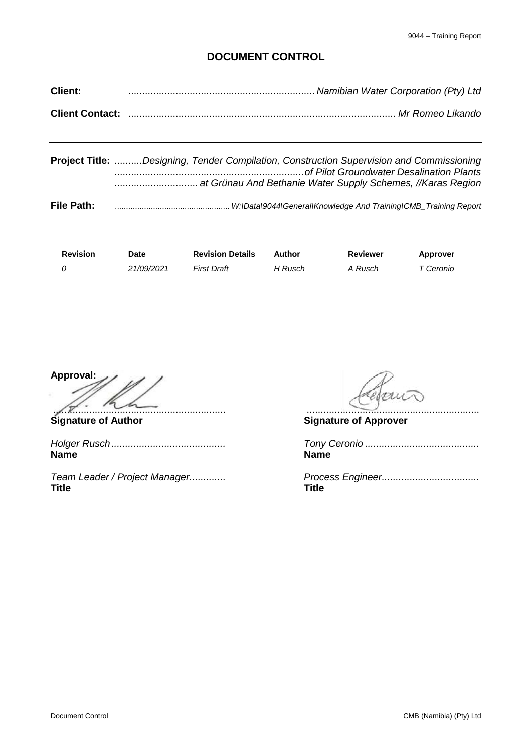#### **DOCUMENT CONTROL**

| <b>Client:</b> | manibian Water Corporation (Pty) Ltd |
|----------------|--------------------------------------|
|                |                                      |

|            | <b>Project Title:</b> Designing, Tender Compilation, Construction Supervision and Commissioning |
|------------|-------------------------------------------------------------------------------------------------|
| File Path: |                                                                                                 |

| <b>Revision</b> | Date       | <b>Revision Details</b> | Author  | Reviewer | <b>Approver</b> |
|-----------------|------------|-------------------------|---------|----------|-----------------|
|                 | 21/09/2021 | <b>First Draft</b>      | H Rusch | A Rusch  | ⊤ Ceronio       |

**Approval:** .............................................................. ..............................................................

*Holger Rusch......................................... Tony Ceronio .........................................* **Name Name**

**Title Title**

**Signature of Author Signature of Approver**

*Team Leader / Project Manager.............*<br> **Title Title Title**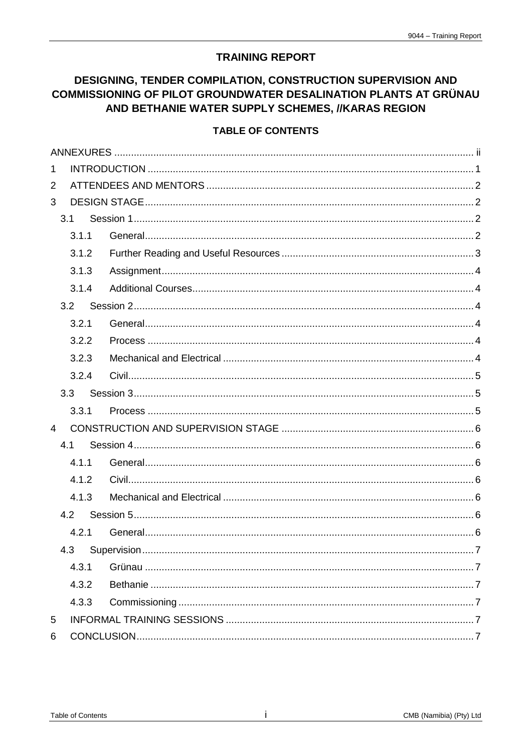### **TRAINING REPORT**

### DESIGNING, TENDER COMPILATION, CONSTRUCTION SUPERVISION AND **COMMISSIONING OF PILOT GROUNDWATER DESALINATION PLANTS AT GRÜNAU** AND BETHANIE WATER SUPPLY SCHEMES, //KARAS REGION

#### **TABLE OF CONTENTS**

| $\mathbf{1}$   |       |  |
|----------------|-------|--|
| $\overline{2}$ |       |  |
| 3              |       |  |
|                | 3.1   |  |
|                | 3.1.1 |  |
|                | 3.1.2 |  |
|                | 3.1.3 |  |
|                | 3.1.4 |  |
|                | 3.2   |  |
|                | 3.2.1 |  |
|                | 3.2.2 |  |
|                | 3.2.3 |  |
|                | 3.2.4 |  |
|                | 3.3   |  |
|                | 3.3.1 |  |
| $\overline{4}$ |       |  |
|                | 4.1   |  |
|                | 4.1.1 |  |
|                | 4.1.2 |  |
|                | 4.1.3 |  |
|                | 4.2   |  |
|                | 4.2.1 |  |
|                |       |  |
|                | 4.3.1 |  |
|                | 4.3.2 |  |
|                | 4.3.3 |  |
| 5              |       |  |
| 6              |       |  |
|                |       |  |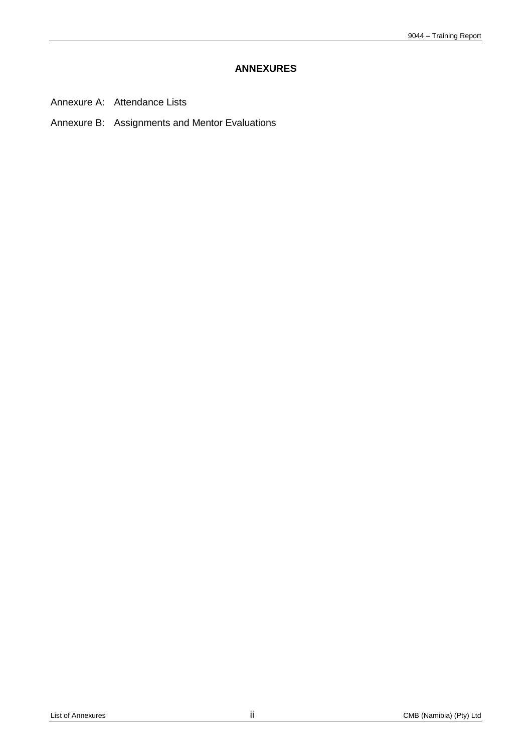#### **ANNEXURES**

- <span id="page-3-0"></span>Annexure A: Attendance Lists
- Annexure B: Assignments and Mentor Evaluations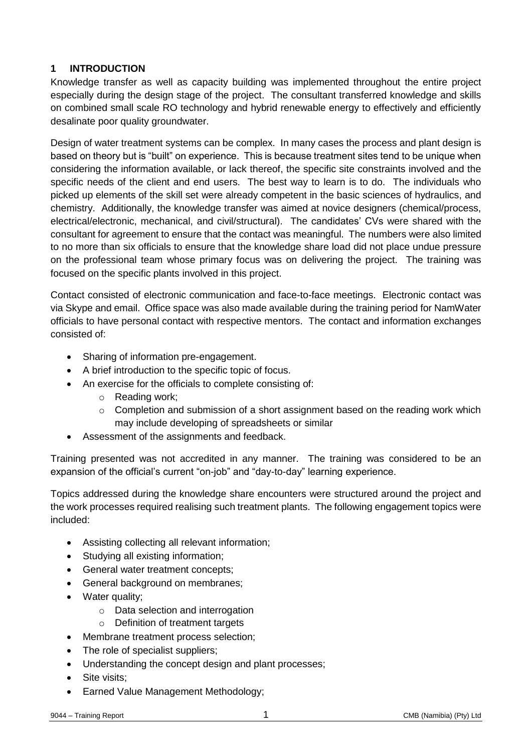### <span id="page-4-0"></span>**1 INTRODUCTION**

Knowledge transfer as well as capacity building was implemented throughout the entire project especially during the design stage of the project. The consultant transferred knowledge and skills on combined small scale RO technology and hybrid renewable energy to effectively and efficiently desalinate poor quality groundwater.

Design of water treatment systems can be complex. In many cases the process and plant design is based on theory but is "built" on experience. This is because treatment sites tend to be unique when considering the information available, or lack thereof, the specific site constraints involved and the specific needs of the client and end users. The best way to learn is to do. The individuals who picked up elements of the skill set were already competent in the basic sciences of hydraulics, and chemistry. Additionally, the knowledge transfer was aimed at novice designers (chemical/process, electrical/electronic, mechanical, and civil/structural). The candidates' CVs were shared with the consultant for agreement to ensure that the contact was meaningful. The numbers were also limited to no more than six officials to ensure that the knowledge share load did not place undue pressure on the professional team whose primary focus was on delivering the project. The training was focused on the specific plants involved in this project.

Contact consisted of electronic communication and face-to-face meetings. Electronic contact was via Skype and email. Office space was also made available during the training period for NamWater officials to have personal contact with respective mentors. The contact and information exchanges consisted of:

- Sharing of information pre-engagement.
- A brief introduction to the specific topic of focus.
- An exercise for the officials to complete consisting of:
	- o Reading work;
	- o Completion and submission of a short assignment based on the reading work which may include developing of spreadsheets or similar
- Assessment of the assignments and feedback.

Training presented was not accredited in any manner. The training was considered to be an expansion of the official's current "on-job" and "day-to-day" learning experience.

Topics addressed during the knowledge share encounters were structured around the project and the work processes required realising such treatment plants. The following engagement topics were included:

- Assisting collecting all relevant information;
- Studying all existing information;
- General water treatment concepts;
- General background on membranes;
- Water quality:
	- o Data selection and interrogation
	- $\circ$  Definition of treatment targets
- Membrane treatment process selection;
- The role of specialist suppliers;
- Understanding the concept design and plant processes;
- Site visits:
- Earned Value Management Methodology;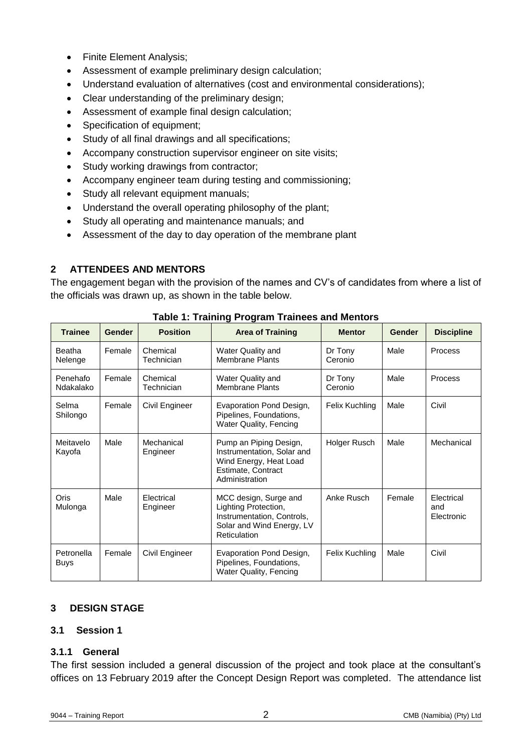- Finite Element Analysis;
- Assessment of example preliminary design calculation;
- Understand evaluation of alternatives (cost and environmental considerations);
- Clear understanding of the preliminary design;
- Assessment of example final design calculation;
- Specification of equipment;
- Study of all final drawings and all specifications;
- Accompany construction supervisor engineer on site visits;
- Study working drawings from contractor;
- Accompany engineer team during testing and commissioning;
- Study all relevant equipment manuals;
- Understand the overall operating philosophy of the plant;
- Study all operating and maintenance manuals; and
- Assessment of the day to day operation of the membrane plant

#### <span id="page-5-0"></span>**2 ATTENDEES AND MENTORS**

The engagement began with the provision of the names and CV's of candidates from where a list of the officials was drawn up, as shown in the table below.

| <b>Trainee</b>            | Gender | <b>Position</b>        | <b>Area of Training</b>                                                                                                  | <b>Mentor</b>      | Gender | <b>Discipline</b>               |
|---------------------------|--------|------------------------|--------------------------------------------------------------------------------------------------------------------------|--------------------|--------|---------------------------------|
| <b>Beatha</b><br>Nelenge  | Female | Chemical<br>Technician | <b>Water Quality and</b><br><b>Membrane Plants</b>                                                                       | Dr Tony<br>Ceronio | Male   | <b>Process</b>                  |
| Penehafo<br>Ndakalako     | Female | Chemical<br>Technician | <b>Water Quality and</b><br><b>Membrane Plants</b>                                                                       | Dr Tony<br>Ceronio | Male   | <b>Process</b>                  |
| Selma<br>Shilongo         | Female | Civil Engineer         | Evaporation Pond Design,<br>Pipelines, Foundations,<br>Water Quality, Fencing                                            | Felix Kuchling     | Male   | Civil                           |
| Meitavelo<br>Kayofa       | Male   | Mechanical<br>Engineer | Pump an Piping Design,<br>Instrumentation, Solar and<br>Wind Energy, Heat Load<br>Estimate, Contract<br>Administration   | Holger Rusch       | Male   | Mechanical                      |
| Oris<br>Mulonga           | Male   | Electrical<br>Engineer | MCC design, Surge and<br>Lighting Protection,<br>Instrumentation, Controls,<br>Solar and Wind Energy, LV<br>Reticulation | Anke Rusch         | Female | Electrical<br>and<br>Electronic |
| Petronella<br><b>Buys</b> | Female | Civil Engineer         | Evaporation Pond Design,<br>Pipelines, Foundations,<br><b>Water Quality, Fencing</b>                                     | Felix Kuchling     | Male   | Civil                           |

**Table 1: Training Program Trainees and Mentors**

#### <span id="page-5-1"></span>**3 DESIGN STAGE**

#### <span id="page-5-2"></span>**3.1 Session 1**

#### <span id="page-5-3"></span>**3.1.1 General**

The first session included a general discussion of the project and took place at the consultant's offices on 13 February 2019 after the Concept Design Report was completed. The attendance list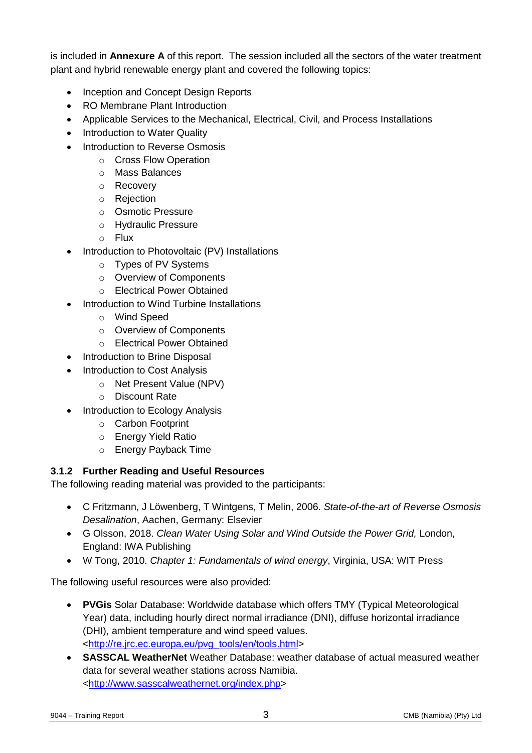is included in **Annexure A** of this report. The session included all the sectors of the water treatment plant and hybrid renewable energy plant and covered the following topics:

- Inception and Concept Design Reports
- RO Membrane Plant Introduction
- Applicable Services to the Mechanical, Electrical, Civil, and Process Installations
- Introduction to Water Quality
- Introduction to Reverse Osmosis
	- o Cross Flow Operation
	- o Mass Balances
	- o Recovery
	- o Rejection
	- o Osmotic Pressure
	- o Hydraulic Pressure
	- o Flux
- Introduction to Photovoltaic (PV) Installations
	- o Types of PV Systems
	- o Overview of Components
	- o Electrical Power Obtained
- Introduction to Wind Turbine Installations
	- o Wind Speed
	- o Overview of Components
	- o Electrical Power Obtained
- Introduction to Brine Disposal
- Introduction to Cost Analysis
	- o Net Present Value (NPV)
	- o Discount Rate
- Introduction to Ecology Analysis
	- o Carbon Footprint
	- o Energy Yield Ratio
	- o Energy Payback Time

#### <span id="page-6-0"></span>**3.1.2 Further Reading and Useful Resources**

The following reading material was provided to the participants:

- C Fritzmann, J Löwenberg, T Wintgens, T Melin, 2006. *State-of-the-art of Reverse Osmosis Desalination*, Aachen, Germany: Elsevier
- G Olsson, 2018. *Clean Water Using Solar and Wind Outside the Power Grid,* London, England: IWA Publishing
- W Tong, 2010. *Chapter 1: Fundamentals of wind energy*, Virginia, USA: WIT Press

The following useful resources were also provided:

- **PVGis** Solar Database: Worldwide database which offers TMY (Typical Meteorological Year) data, including hourly direct normal irradiance (DNI), diffuse horizontal irradiance (DHI), ambient temperature and wind speed values. [<http://re.jrc.ec.europa.eu/pvg\\_tools/en/tools.html>](http://re.jrc.ec.europa.eu/pvg_tools/en/tools.html)
- **SASSCAL WeatherNet** Weather Database: weather database of actual measured weather data for several weather stations across Namibia. [<http://www.sasscalweathernet.org/index.php>](http://www.sasscalweathernet.org/index.php)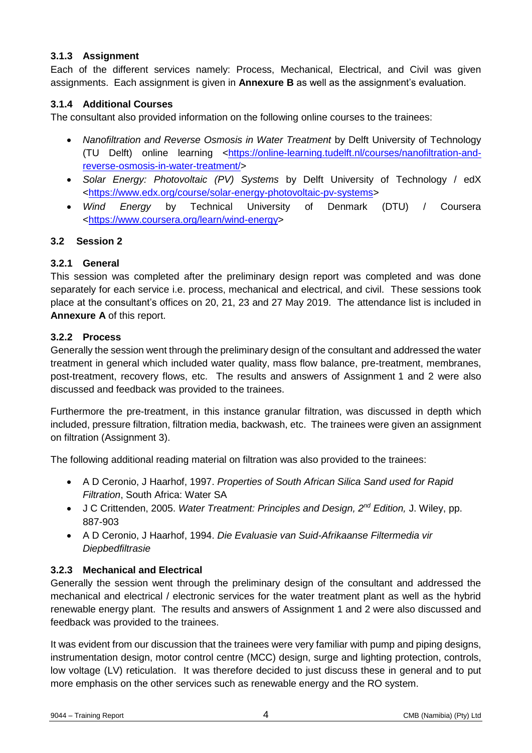#### <span id="page-7-0"></span>**3.1.3 Assignment**

Each of the different services namely: Process, Mechanical, Electrical, and Civil was given assignments. Each assignment is given in **Annexure B** as well as the assignment's evaluation.

#### <span id="page-7-1"></span>**3.1.4 Additional Courses**

The consultant also provided information on the following online courses to the trainees:

- *Nanofiltration and Reverse Osmosis in Water Treatment* by Delft University of Technology (TU Delft) online learning [<https://online-learning.tudelft.nl/courses/nanofiltration-and](https://online-learning.tudelft.nl/courses/nanofiltration-and-reverse-osmosis-in-water-treatment/)[reverse-osmosis-in-water-treatment/>](https://online-learning.tudelft.nl/courses/nanofiltration-and-reverse-osmosis-in-water-treatment/)
- *Solar Energy: Photovoltaic (PV) Systems* by Delft University of Technology / edX [<https://www.edx.org/course/solar-energy-photovoltaic-pv-systems>](https://www.edx.org/course/solar-energy-photovoltaic-pv-systems)
- *Wind Energy* by Technical University of Denmark (DTU) / Coursera [<https://www.coursera.org/learn/wind-energy>](https://www.coursera.org/learn/wind-energy)

#### <span id="page-7-2"></span>**3.2 Session 2**

#### <span id="page-7-3"></span>**3.2.1 General**

This session was completed after the preliminary design report was completed and was done separately for each service i.e. process, mechanical and electrical, and civil. These sessions took place at the consultant's offices on 20, 21, 23 and 27 May 2019. The attendance list is included in **Annexure A** of this report.

#### <span id="page-7-4"></span>**3.2.2 Process**

Generally the session went through the preliminary design of the consultant and addressed the water treatment in general which included water quality, mass flow balance, pre-treatment, membranes, post-treatment, recovery flows, etc. The results and answers of Assignment 1 and 2 were also discussed and feedback was provided to the trainees.

Furthermore the pre-treatment, in this instance granular filtration, was discussed in depth which included, pressure filtration, filtration media, backwash, etc. The trainees were given an assignment on filtration (Assignment 3).

The following additional reading material on filtration was also provided to the trainees:

- A D Ceronio, J Haarhof, 1997. *Properties of South African Silica Sand used for Rapid Filtration*, South Africa: Water SA
- J C Crittenden, 2005. *Water Treatment: Principles and Design, 2nd Edition,* J. Wiley, pp. 887-903
- A D Ceronio, J Haarhof, 1994. *Die Evaluasie van Suid-Afrikaanse Filtermedia vir Diepbedfiltrasie*

#### <span id="page-7-5"></span>**3.2.3 Mechanical and Electrical**

Generally the session went through the preliminary design of the consultant and addressed the mechanical and electrical / electronic services for the water treatment plant as well as the hybrid renewable energy plant. The results and answers of Assignment 1 and 2 were also discussed and feedback was provided to the trainees.

It was evident from our discussion that the trainees were very familiar with pump and piping designs, instrumentation design, motor control centre (MCC) design, surge and lighting protection, controls, low voltage (LV) reticulation. It was therefore decided to just discuss these in general and to put more emphasis on the other services such as renewable energy and the RO system.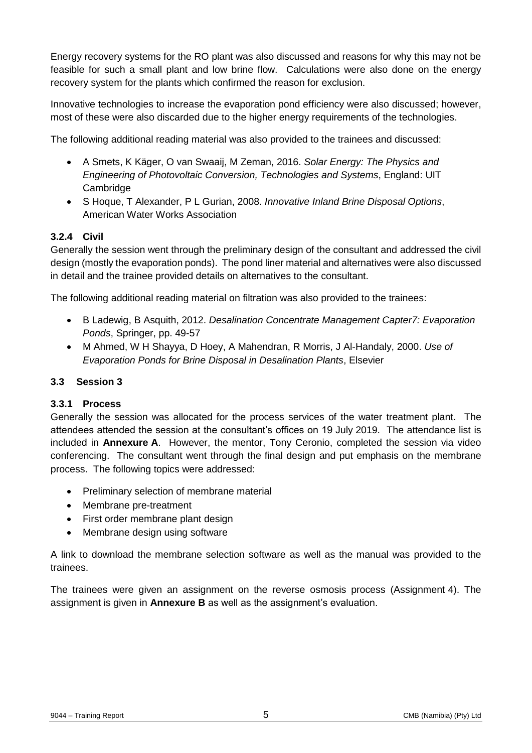Energy recovery systems for the RO plant was also discussed and reasons for why this may not be feasible for such a small plant and low brine flow. Calculations were also done on the energy recovery system for the plants which confirmed the reason for exclusion.

Innovative technologies to increase the evaporation pond efficiency were also discussed; however, most of these were also discarded due to the higher energy requirements of the technologies.

The following additional reading material was also provided to the trainees and discussed:

- A Smets, K Käger, O van Swaaij, M Zeman, 2016. *Solar Energy: The Physics and Engineering of Photovoltaic Conversion, Technologies and Systems*, England: UIT **Cambridge**
- S Hoque, T Alexander, P L Gurian, 2008. *Innovative Inland Brine Disposal Options*, American Water Works Association

#### <span id="page-8-0"></span>**3.2.4 Civil**

Generally the session went through the preliminary design of the consultant and addressed the civil design (mostly the evaporation ponds). The pond liner material and alternatives were also discussed in detail and the trainee provided details on alternatives to the consultant.

The following additional reading material on filtration was also provided to the trainees:

- B Ladewig, B Asquith, 2012. *Desalination Concentrate Management Capter7: Evaporation Ponds*, Springer, pp. 49-57
- M Ahmed, W H Shayya, D Hoey, A Mahendran, R Morris, J Al-Handaly, 2000. *Use of Evaporation Ponds for Brine Disposal in Desalination Plants*, Elsevier

#### <span id="page-8-1"></span>**3.3 Session 3**

#### <span id="page-8-2"></span>**3.3.1 Process**

Generally the session was allocated for the process services of the water treatment plant. The attendees attended the session at the consultant's offices on 19 July 2019. The attendance list is included in **Annexure A**. However, the mentor, Tony Ceronio, completed the session via video conferencing. The consultant went through the final design and put emphasis on the membrane process. The following topics were addressed:

- Preliminary selection of membrane material
- Membrane pre-treatment
- First order membrane plant design
- Membrane design using software

A link to download the membrane selection software as well as the manual was provided to the trainees.

The trainees were given an assignment on the reverse osmosis process (Assignment 4). The assignment is given in **Annexure B** as well as the assignment's evaluation.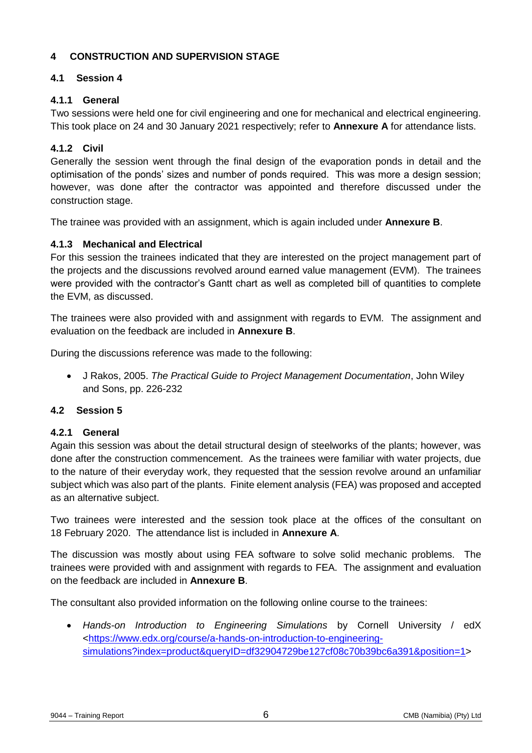#### <span id="page-9-0"></span>**4 CONSTRUCTION AND SUPERVISION STAGE**

#### <span id="page-9-1"></span>**4.1 Session 4**

#### <span id="page-9-2"></span>**4.1.1 General**

Two sessions were held one for civil engineering and one for mechanical and electrical engineering. This took place on 24 and 30 January 2021 respectively; refer to **Annexure A** for attendance lists.

#### <span id="page-9-3"></span>**4.1.2 Civil**

Generally the session went through the final design of the evaporation ponds in detail and the optimisation of the ponds' sizes and number of ponds required. This was more a design session; however, was done after the contractor was appointed and therefore discussed under the construction stage.

The trainee was provided with an assignment, which is again included under **Annexure B**.

#### <span id="page-9-4"></span>**4.1.3 Mechanical and Electrical**

For this session the trainees indicated that they are interested on the project management part of the projects and the discussions revolved around earned value management (EVM). The trainees were provided with the contractor's Gantt chart as well as completed bill of quantities to complete the EVM, as discussed.

The trainees were also provided with and assignment with regards to EVM. The assignment and evaluation on the feedback are included in **Annexure B**.

During the discussions reference was made to the following:

 J Rakos, 2005. *The Practical Guide to Project Management Documentation*, John Wiley and Sons, pp. 226-232

#### <span id="page-9-5"></span>**4.2 Session 5**

#### <span id="page-9-6"></span>**4.2.1 General**

Again this session was about the detail structural design of steelworks of the plants; however, was done after the construction commencement. As the trainees were familiar with water projects, due to the nature of their everyday work, they requested that the session revolve around an unfamiliar subject which was also part of the plants. Finite element analysis (FEA) was proposed and accepted as an alternative subject.

Two trainees were interested and the session took place at the offices of the consultant on 18 February 2020. The attendance list is included in **Annexure A**.

The discussion was mostly about using FEA software to solve solid mechanic problems. The trainees were provided with and assignment with regards to FEA. The assignment and evaluation on the feedback are included in **Annexure B**.

The consultant also provided information on the following online course to the trainees:

 *Hands-on Introduction to Engineering Simulations* by Cornell University / edX [<https://www.edx.org/course/a-hands-on-introduction-to-engineering](https://www.edx.org/course/a-hands-on-introduction-to-engineering-simulations?index=product&queryID=df32904729be127cf08c70b39bc6a391&position=1)[simulations?index=product&queryID=df32904729be127cf08c70b39bc6a391&position=1>](https://www.edx.org/course/a-hands-on-introduction-to-engineering-simulations?index=product&queryID=df32904729be127cf08c70b39bc6a391&position=1)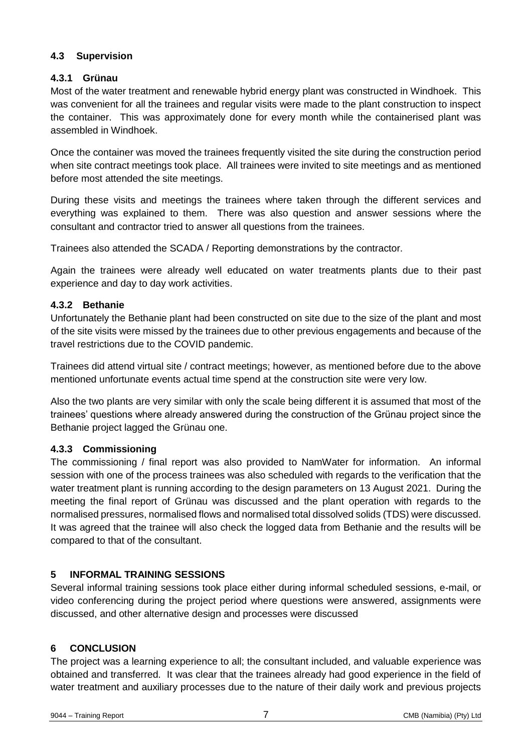#### <span id="page-10-0"></span>**4.3 Supervision**

#### <span id="page-10-1"></span>**4.3.1 Grünau**

Most of the water treatment and renewable hybrid energy plant was constructed in Windhoek. This was convenient for all the trainees and regular visits were made to the plant construction to inspect the container. This was approximately done for every month while the containerised plant was assembled in Windhoek.

Once the container was moved the trainees frequently visited the site during the construction period when site contract meetings took place. All trainees were invited to site meetings and as mentioned before most attended the site meetings.

During these visits and meetings the trainees where taken through the different services and everything was explained to them. There was also question and answer sessions where the consultant and contractor tried to answer all questions from the trainees.

Trainees also attended the SCADA / Reporting demonstrations by the contractor.

Again the trainees were already well educated on water treatments plants due to their past experience and day to day work activities.

#### <span id="page-10-2"></span>**4.3.2 Bethanie**

Unfortunately the Bethanie plant had been constructed on site due to the size of the plant and most of the site visits were missed by the trainees due to other previous engagements and because of the travel restrictions due to the COVID pandemic.

Trainees did attend virtual site / contract meetings; however, as mentioned before due to the above mentioned unfortunate events actual time spend at the construction site were very low.

Also the two plants are very similar with only the scale being different it is assumed that most of the trainees' questions where already answered during the construction of the Grünau project since the Bethanie project lagged the Grünau one.

#### <span id="page-10-3"></span>**4.3.3 Commissioning**

The commissioning / final report was also provided to NamWater for information. An informal session with one of the process trainees was also scheduled with regards to the verification that the water treatment plant is running according to the design parameters on 13 August 2021. During the meeting the final report of Grünau was discussed and the plant operation with regards to the normalised pressures, normalised flows and normalised total dissolved solids (TDS) were discussed. It was agreed that the trainee will also check the logged data from Bethanie and the results will be compared to that of the consultant.

#### <span id="page-10-4"></span>**5 INFORMAL TRAINING SESSIONS**

Several informal training sessions took place either during informal scheduled sessions, e-mail, or video conferencing during the project period where questions were answered, assignments were discussed, and other alternative design and processes were discussed

#### <span id="page-10-5"></span>**6 CONCLUSION**

The project was a learning experience to all; the consultant included, and valuable experience was obtained and transferred. It was clear that the trainees already had good experience in the field of water treatment and auxiliary processes due to the nature of their daily work and previous projects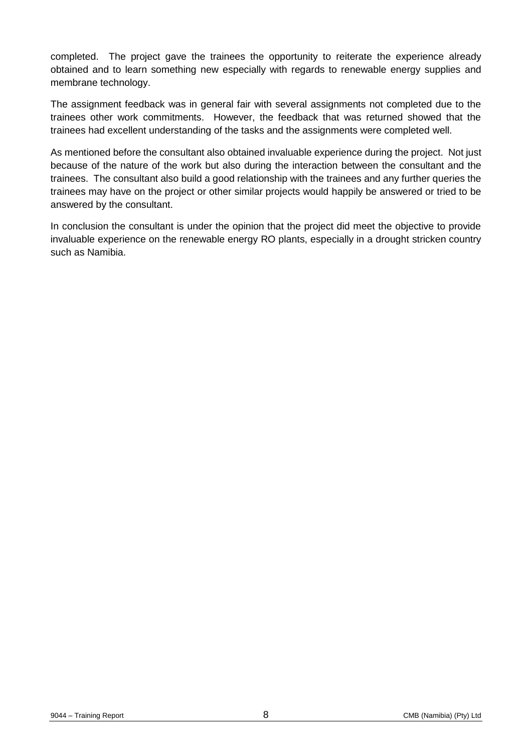completed. The project gave the trainees the opportunity to reiterate the experience already obtained and to learn something new especially with regards to renewable energy supplies and membrane technology.

The assignment feedback was in general fair with several assignments not completed due to the trainees other work commitments. However, the feedback that was returned showed that the trainees had excellent understanding of the tasks and the assignments were completed well.

As mentioned before the consultant also obtained invaluable experience during the project. Not just because of the nature of the work but also during the interaction between the consultant and the trainees. The consultant also build a good relationship with the trainees and any further queries the trainees may have on the project or other similar projects would happily be answered or tried to be answered by the consultant.

In conclusion the consultant is under the opinion that the project did meet the objective to provide invaluable experience on the renewable energy RO plants, especially in a drought stricken country such as Namibia.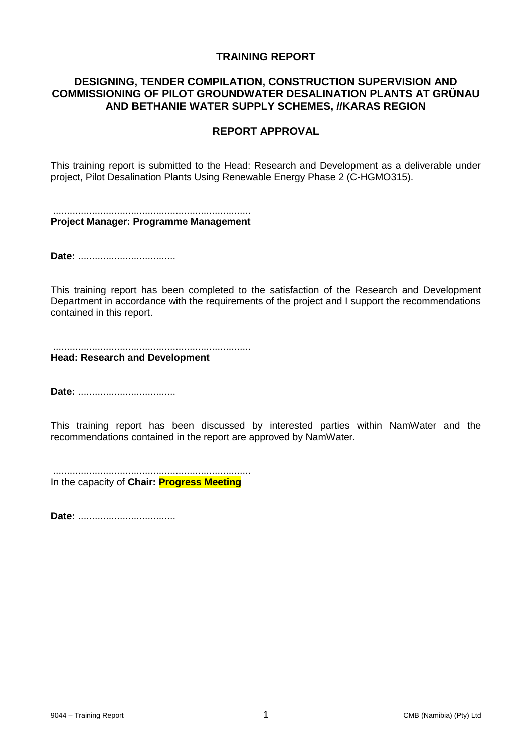#### **TRAINING REPORT**

#### **DESIGNING, TENDER COMPILATION, CONSTRUCTION SUPERVISION AND COMMISSIONING OF PILOT GROUNDWATER DESALINATION PLANTS AT GRÜNAU AND BETHANIE WATER SUPPLY SCHEMES, //KARAS REGION**

#### **REPORT APPROVAL**

This training report is submitted to the Head: Research and Development as a deliverable under project, Pilot Desalination Plants Using Renewable Energy Phase 2 (C-HGMO315).

....................................................................... **Project Manager: Programme Management**

**Date:** ...................................

This training report has been completed to the satisfaction of the Research and Development Department in accordance with the requirements of the project and I support the recommendations contained in this report.

....................................................................... **Head: Research and Development**

**Date:** ...................................

This training report has been discussed by interested parties within NamWater and the recommendations contained in the report are approved by NamWater.

....................................................................... In the capacity of **Chair: Progress Meeting**

**Date:** ...................................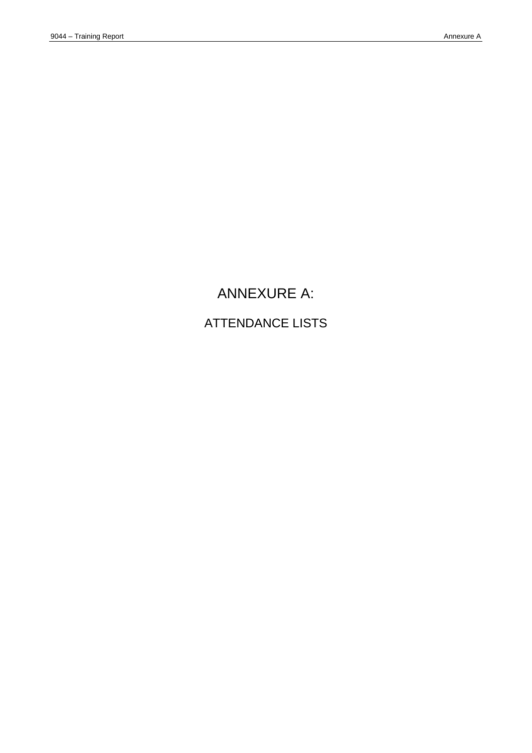# ANNEXURE A: ATTENDANCE LISTS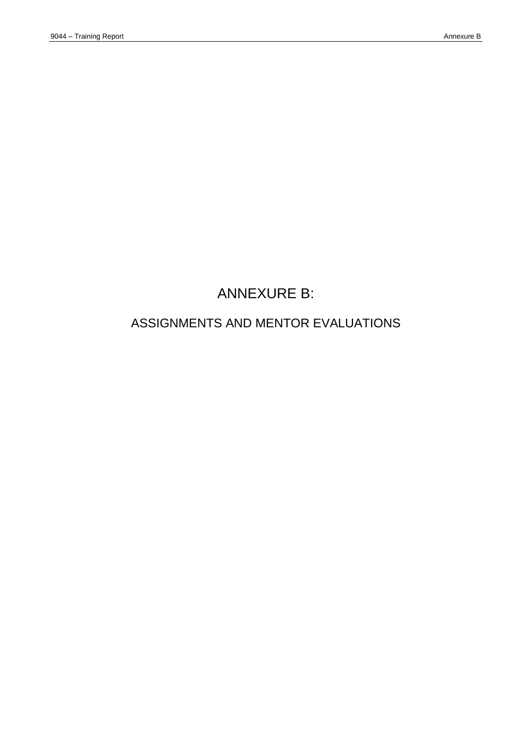# ANNEXURE B:

# ASSIGNMENTS AND MENTOR EVALUATIONS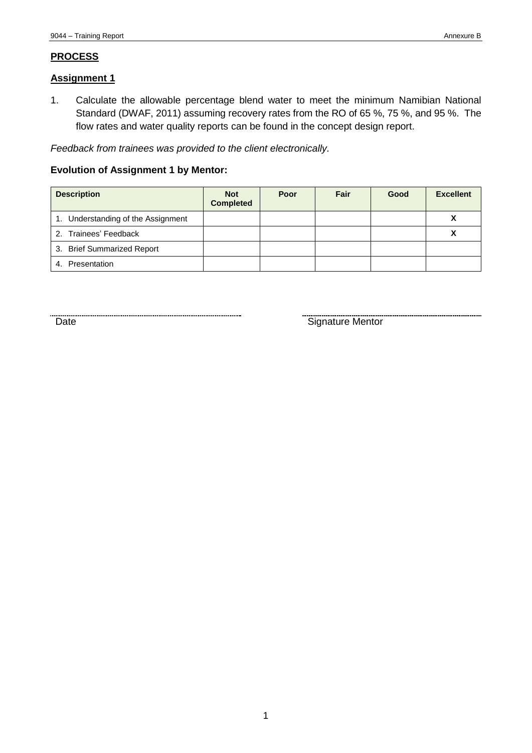#### **PROCESS**

#### **Assignment 1**

1. Calculate the allowable percentage blend water to meet the minimum Namibian National Standard (DWAF, 2011) assuming recovery rates from the RO of 65 %, 75 %, and 95 %. The flow rates and water quality reports can be found in the concept design report.

*Feedback from trainees was provided to the client electronically.*

#### **Evolution of Assignment 1 by Mentor:**

| <b>Description</b>                 | <b>Not</b><br><b>Completed</b> | Poor | Fair | Good | <b>Excellent</b> |
|------------------------------------|--------------------------------|------|------|------|------------------|
| 1. Understanding of the Assignment |                                |      |      |      | v<br>Λ           |
| 2. Trainees' Feedback              |                                |      |      |      |                  |
| 3. Brief Summarized Report         |                                |      |      |      |                  |
| Presentation<br>4.                 |                                |      |      |      |                  |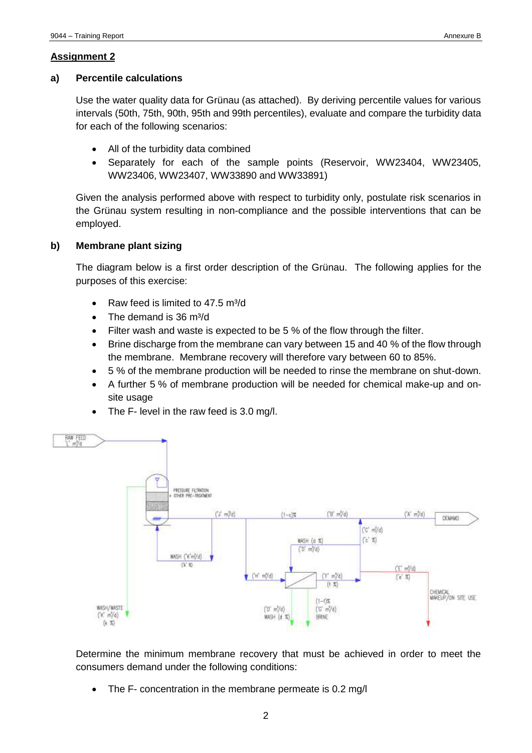#### **a) Percentile calculations**

Use the water quality data for Grünau (as attached). By deriving percentile values for various intervals (50th, 75th, 90th, 95th and 99th percentiles), evaluate and compare the turbidity data for each of the following scenarios:

- All of the turbidity data combined
- Separately for each of the sample points (Reservoir, WW23404, WW23405, WW23406, WW23407, WW33890 and WW33891)

Given the analysis performed above with respect to turbidity only, postulate risk scenarios in the Grünau system resulting in non-compliance and the possible interventions that can be employed.

#### **b) Membrane plant sizing**

The diagram below is a first order description of the Grünau. The following applies for the purposes of this exercise:

- Raw feed is limited to 47.5 m<sup>3</sup>/d
- $\bullet$  The demand is 36 m<sup>3</sup>/d
- Filter wash and waste is expected to be 5 % of the flow through the filter.
- Brine discharge from the membrane can vary between 15 and 40 % of the flow through the membrane. Membrane recovery will therefore vary between 60 to 85%.
- 5 % of the membrane production will be needed to rinse the membrane on shut-down.
- A further 5 % of membrane production will be needed for chemical make-up and onsite usage
- The F- level in the raw feed is 3.0 mg/l.



Determine the minimum membrane recovery that must be achieved in order to meet the consumers demand under the following conditions:

• The F- concentration in the membrane permeate is 0.2 mg/l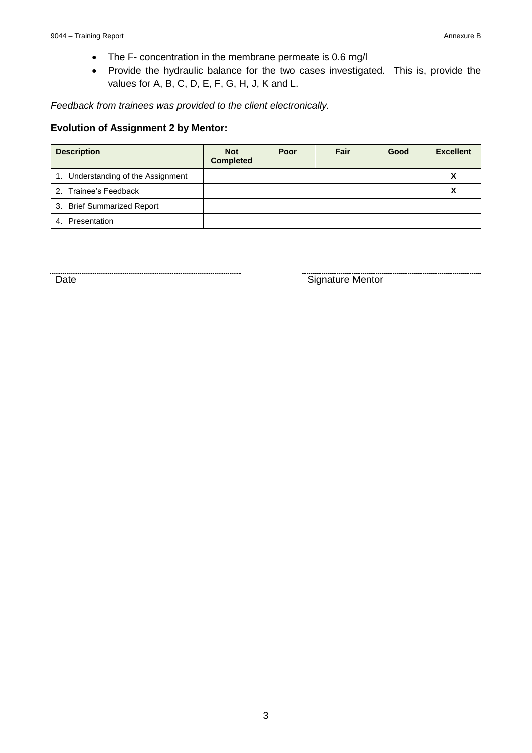- The F- concentration in the membrane permeate is 0.6 mg/l
- Provide the hydraulic balance for the two cases investigated. This is, provide the values for A, B, C, D, E, F, G, H, J, K and L.

*Feedback from trainees was provided to the client electronically.*

#### **Evolution of Assignment 2 by Mentor:**

| <b>Description</b>                 | <b>Not</b><br><b>Completed</b> | Poor | Fair | Good | <b>Excellent</b> |
|------------------------------------|--------------------------------|------|------|------|------------------|
| 1. Understanding of the Assignment |                                |      |      |      |                  |
| 2. Trainee's Feedback              |                                |      |      |      |                  |
| 3. Brief Summarized Report         |                                |      |      |      |                  |
| 4. Presentation                    |                                |      |      |      |                  |

Date **Signature Mentor** Signature Mentor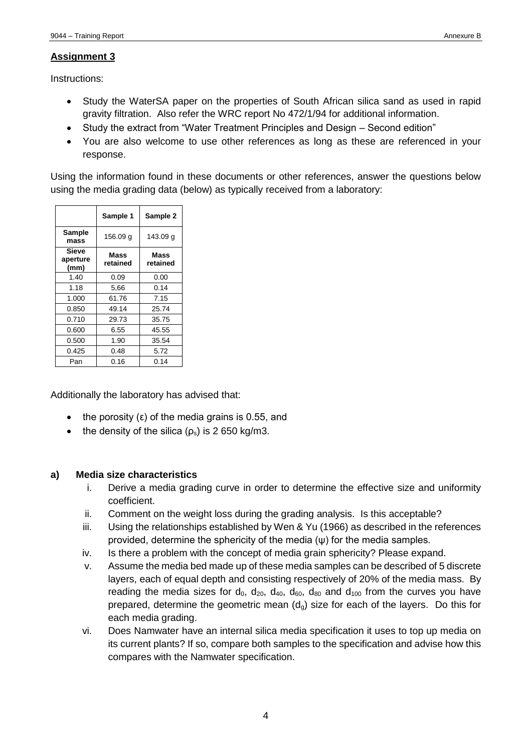Instructions:

- Study the WaterSA paper on the properties of South African silica sand as used in rapid gravity filtration. Also refer the WRC report No 472/1/94 for additional information.
- Study the extract from "Water Treatment Principles and Design Second edition"
- You are also welcome to use other references as long as these are referenced in your response.

Using the information found in these documents or other references, answer the questions below using the media grading data (below) as typically received from a laboratory:

|                                  | Sample 1         | Sample 2         |
|----------------------------------|------------------|------------------|
| <b>Sample</b><br>mass            | 156.09 g         | 143.09 g         |
| <b>Sieve</b><br>aperture<br>(mm) | Mass<br>retained | Mass<br>retained |
| 1.40                             | 0.09             | 0.00             |
| 1.18                             | 5,66             | 0.14             |
| 1.000                            | 61.76            | 7.15             |
| 0.850                            | 49.14            | 25.74            |
| 0.710                            | 29.73            | 35.75            |
| 0.600                            | 6.55             | 45.55            |
| 0.500                            | 1.90             | 35.54            |
| 0.425                            | 0.48             | 5.72             |
| Pan                              | 0.16             | 0.14             |

Additionally the laboratory has advised that:

- the porosity  $(\epsilon)$  of the media grains is 0.55, and
- the density of the silica  $(p_s)$  is 2 650 kg/m3.

#### **a) Media size characteristics**

- i. Derive a media grading curve in order to determine the effective size and uniformity coefficient.
- ii. Comment on the weight loss during the grading analysis. Is this acceptable?
- iii. Using the relationships established by Wen & Yu (1966) as described in the references provided, determine the sphericity of the media (ψ) for the media samples.
- iv. Is there a problem with the concept of media grain sphericity? Please expand.
- v. Assume the media bed made up of these media samples can be described of 5 discrete layers, each of equal depth and consisting respectively of 20% of the media mass. By reading the media sizes for  $d_0$ ,  $d_{20}$ ,  $d_{40}$ ,  $d_{60}$ ,  $d_{80}$  and  $d_{100}$  from the curves you have prepared, determine the geometric mean  $(d<sub>g</sub>)$  size for each of the layers. Do this for each media grading.
- vi. Does Namwater have an internal silica media specification it uses to top up media on its current plants? If so, compare both samples to the specification and advise how this compares with the Namwater specification.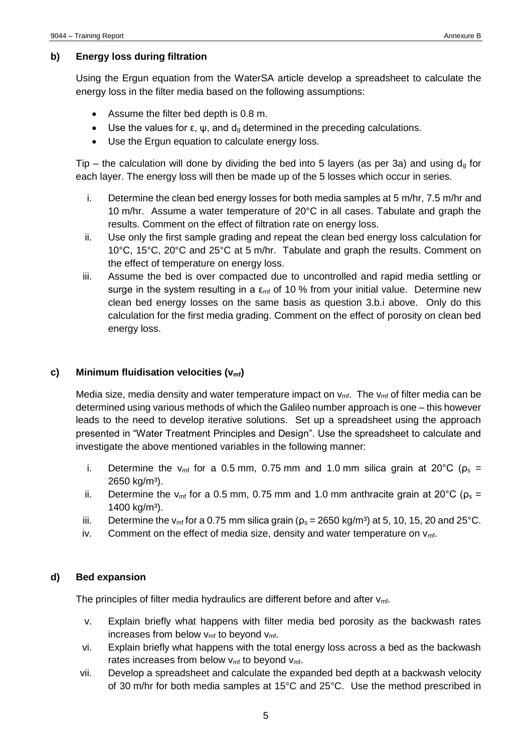#### **b) Energy loss during filtration**

Using the Ergun equation from the WaterSA article develop a spreadsheet to calculate the energy loss in the filter media based on the following assumptions:

- Assume the filter bed depth is 0.8 m.
- Use the values for  $ε$ ,  $ψ$ , and  $d<sub>g</sub>$  determined in the preceding calculations.
- Use the Ergun equation to calculate energy loss.

Tip – the calculation will done by dividing the bed into 5 layers (as per 3a) and using  $d_q$  for each layer. The energy loss will then be made up of the 5 losses which occur in series.

- i. Determine the clean bed energy losses for both media samples at 5 m/hr, 7.5 m/hr and 10 m/hr. Assume a water temperature of 20°C in all cases. Tabulate and graph the results. Comment on the effect of filtration rate on energy loss.
- ii. Use only the first sample grading and repeat the clean bed energy loss calculation for 10°C, 15°C, 20°C and 25°C at 5 m/hr. Tabulate and graph the results. Comment on the effect of temperature on energy loss.
- iii. Assume the bed is over compacted due to uncontrolled and rapid media settling or surge in the system resulting in a  $\varepsilon_{\rm mf}$  of 10 % from your initial value. Determine new clean bed energy losses on the same basis as question 3.b.i above. Only do this calculation for the first media grading. Comment on the effect of porosity on clean bed energy loss.

#### **c) Minimum fluidisation velocities (vmf)**

Media size, media density and water temperature impact on  $v_{\text{mf}}$ . The  $v_{\text{mf}}$  of filter media can be determined using various methods of which the Galileo number approach is one – this however leads to the need to develop iterative solutions. Set up a spreadsheet using the approach presented in "Water Treatment Principles and Design". Use the spreadsheet to calculate and investigate the above mentioned variables in the following manner:

- i. Determine the v<sub>mf</sub> for a 0.5 mm, 0.75 mm and 1.0 mm silica grain at 20<sup>o</sup>C ( $\rho_s$  = 2650 kg/m<sup>3</sup>).
- ii. Determine the v<sub>mf</sub> for a 0.5 mm, 0.75 mm and 1.0 mm anthracite grain at 20<sup>o</sup>C ( $\rho_s$  = 1400 kg/ $m^3$ ).
- iii. Determine the v<sub>mf</sub> for a 0.75 mm silica grain ( $ρ_s = 2650$  kg/m<sup>3</sup>) at 5, 10, 15, 20 and 25<sup>o</sup>C.
- iv. Comment on the effect of media size, density and water temperature on  $v_{\text{mf}}$ .

#### **d) Bed expansion**

The principles of filter media hydraulics are different before and after  $v_{\text{mf}}$ .

- v. Explain briefly what happens with filter media bed porosity as the backwash rates increases from below  $v_{\text{mf}}$  to beyond  $v_{\text{mf}}$ .
- vi. Explain briefly what happens with the total energy loss across a bed as the backwash rates increases from below  $v_{\text{mf}}$  to beyond  $v_{\text{mf}}$ .
- vii. Develop a spreadsheet and calculate the expanded bed depth at a backwash velocity of 30 m/hr for both media samples at 15°C and 25°C. Use the method prescribed in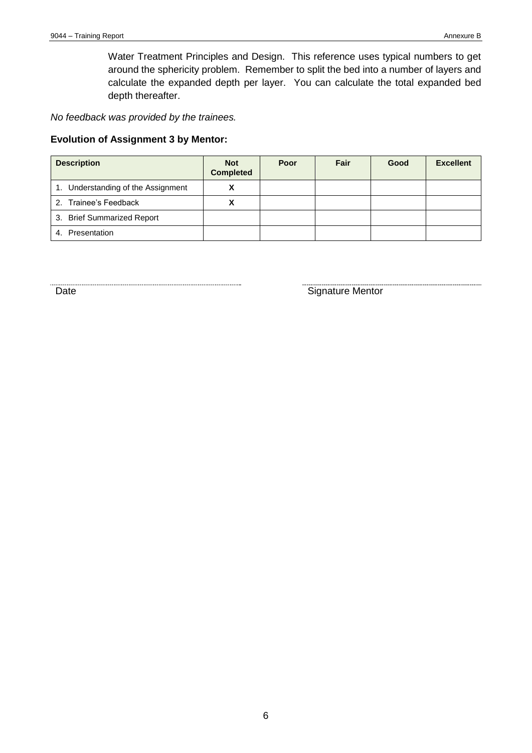Water Treatment Principles and Design. This reference uses typical numbers to get around the sphericity problem. Remember to split the bed into a number of layers and calculate the expanded depth per layer. You can calculate the total expanded bed depth thereafter.

*No feedback was provided by the trainees.*

#### **Evolution of Assignment 3 by Mentor:**

| <b>Description</b>                 | <b>Not</b><br><b>Completed</b> | Poor | Fair | Good | <b>Excellent</b> |
|------------------------------------|--------------------------------|------|------|------|------------------|
| 1. Understanding of the Assignment |                                |      |      |      |                  |
| 2. Trainee's Feedback              |                                |      |      |      |                  |
| 3. Brief Summarized Report         |                                |      |      |      |                  |
| 4. Presentation                    |                                |      |      |      |                  |

Example 20 and 20 and 20 and 20 and 20 and 20 and 20 and 20 and 20 and 20 and 20 and 20 and 20 and 20 and 20 and 20 and 20 and 20 and 20 and 20 and 20 and 20 and 20 and 20 and 20 and 20 and 20 and 20 and 20 and 20 and 20 a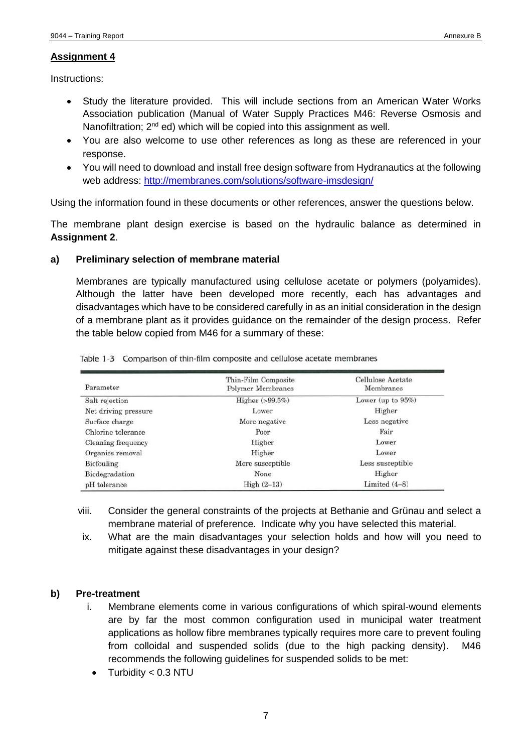Instructions:

- Study the literature provided. This will include sections from an American Water Works Association publication (Manual of Water Supply Practices M46: Reverse Osmosis and Nanofiltration;  $2^{nd}$  ed) which will be copied into this assignment as well.
- You are also welcome to use other references as long as these are referenced in your response.
- You will need to download and install free design software from Hydranautics at the following web address:<http://membranes.com/solutions/software-imsdesign/>

Using the information found in these documents or other references, answer the questions below.

The membrane plant design exercise is based on the hydraulic balance as determined in **Assignment 2**.

#### **a) Preliminary selection of membrane material**

Membranes are typically manufactured using cellulose acetate or polymers (polyamides). Although the latter have been developed more recently, each has advantages and disadvantages which have to be considered carefully in as an initial consideration in the design of a membrane plant as it provides guidance on the remainder of the design process. Refer the table below copied from M46 for a summary of these:

| Parameter            | Thin-Film Composite<br><b>Polymer Membranes</b> | Cellulose Acetate<br>Membranes |
|----------------------|-------------------------------------------------|--------------------------------|
| Salt rejection       | Higher (>99.5%)                                 | Lower (up to $95\%$ )          |
| Net driving pressure | Lower                                           | Higher                         |
| Surface charge       | More negative                                   | Less negative                  |
| Chlorine tolerance   | Poor                                            | Fair                           |
| Cleaning frequency   | Higher                                          | Lower                          |
| Organics removal     | Higher                                          | Lower                          |
| Biofouling           | More susceptible                                | Less susceptible               |
| Biodegradation       | None                                            | Higher                         |
| pH tolerance         | High $(2-13)$                                   | Limited $(4-8)$                |

Table 1-3 Comparison of thin-film composite and cellulose acetate membranes

- viii. Consider the general constraints of the projects at Bethanie and Grünau and select a membrane material of preference. Indicate why you have selected this material.
- ix. What are the main disadvantages your selection holds and how will you need to mitigate against these disadvantages in your design?

#### **b) Pre-treatment**

- i. Membrane elements come in various configurations of which spiral-wound elements are by far the most common configuration used in municipal water treatment applications as hollow fibre membranes typically requires more care to prevent fouling from colloidal and suspended solids (due to the high packing density). M46 recommends the following guidelines for suspended solids to be met:
	- $\bullet$  Turbidity < 0.3 NTU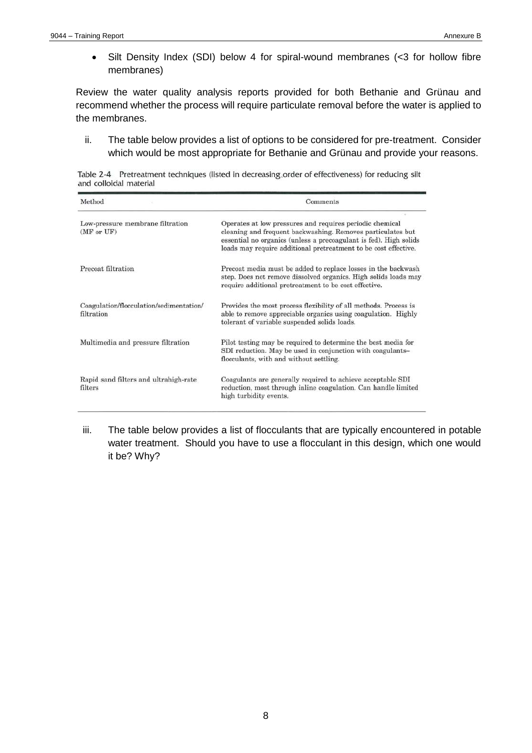Silt Density Index (SDI) below 4 for spiral-wound membranes (<3 for hollow fibre membranes)

Review the water quality analysis reports provided for both Bethanie and Grünau and recommend whether the process will require particulate removal before the water is applied to the membranes.

ii. The table below provides a list of options to be considered for pre-treatment. Consider which would be most appropriate for Bethanie and Grünau and provide your reasons.

Table 2-4 Pretreatment techniques (listed in decreasing order of effectiveness) for reducing silt and colloidal material

| Method                                                | Comments                                                                                                                                                                                                                                                                |  |  |
|-------------------------------------------------------|-------------------------------------------------------------------------------------------------------------------------------------------------------------------------------------------------------------------------------------------------------------------------|--|--|
| Low-pressure membrane filtration<br>(MF or UF)        | te i<br>Operates at low pressures and requires periodic chemical<br>cleaning and frequent backwashing. Removes particulates but<br>essential no organics (unless a precoagulant is fed). High solids<br>loads may require additional pretreatment to be cost effective. |  |  |
| Precoat filtration                                    | Precoat media must be added to replace losses in the backwash<br>step. Does not remove dissolved organics. High solids loads may<br>require additional pretreatment to be cost effective.                                                                               |  |  |
| Coagulation/flocculation/sedimentation/<br>filtration | Provides the most process flexibility of all methods. Process is<br>able to remove appreciable organics using coagulation. Highly<br>tolerant of variable suspended solids loads.                                                                                       |  |  |
| Multimedia and pressure filtration                    | Pilot testing may be required to determine the best media for<br>SDI reduction. May be used in conjunction with coagulants-<br>flocculants, with and without settling.                                                                                                  |  |  |
| Rapid sand filters and ultrahigh-rate<br>filters      | Coagulants are generally required to achieve acceptable SDI<br>reduction, most through inline coagulation. Can handle limited<br>high turbidity events.                                                                                                                 |  |  |

iii. The table below provides a list of flocculants that are typically encountered in potable water treatment. Should you have to use a flocculant in this design, which one would it be? Why?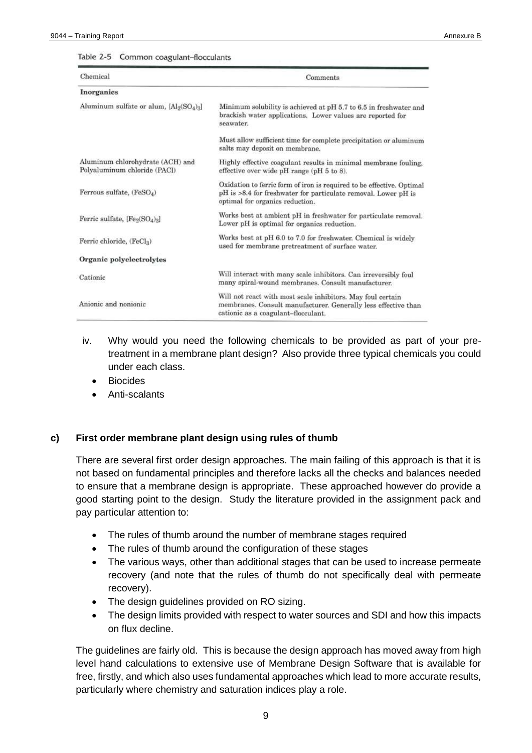#### Table 2-5 Common coagulant-flocculants

| Chemical                                                                     | Comments                                                                                                                                                                   |
|------------------------------------------------------------------------------|----------------------------------------------------------------------------------------------------------------------------------------------------------------------------|
| Inorganics                                                                   |                                                                                                                                                                            |
| Aluminum sulfate or alum, [Al <sub>2</sub> (SO <sub>4</sub> ) <sub>3</sub> ] | Minimum solubility is achieved at pH 5.7 to 6.5 in freshwater and<br>brackish water applications. Lower values are reported for<br>seawater.                               |
|                                                                              | Must allow sufficient time for complete precipitation or aluminum<br>salts may deposit on membrane.                                                                        |
| Aluminum chlorohydrate (ACH) and<br>Polyaluminum chloride (PACI)             | Highly effective coagulant results in minimal membrane fouling,<br>effective over wide pH range (pH 5 to 8).                                                               |
| Ferrous sulfate, $(FeSO_4)$                                                  | Oxidation to ferric form of iron is required to be effective. Optimal<br>pH is >8.4 for freshwater for particulate removal. Lower pH is<br>optimal for organics reduction. |
| Ferric sulfate, $[Fe_2(SO_4)_3]$                                             | Works best at ambient pH in freshwater for particulate removal.<br>Lower pH is optimal for organics reduction.                                                             |
| Ferric chloride, (FeCl2)                                                     | Works best at pH 6.0 to 7.0 for freshwater. Chemical is widely<br>used for membrane pretreatment of surface water.                                                         |
| Organic polyelectrolytes                                                     |                                                                                                                                                                            |
| Cationic                                                                     | Will interact with many scale inhibitors. Can irreversibly foul<br>many spiral-wound membranes. Consult manufacturer.                                                      |
| Anionic and nonionic                                                         | Will not react with most scale inhibitors. May foul certain<br>membranes. Consult manufacturer. Generally less effective than<br>cationic as a coagulant-flocculant.       |

- iv. Why would you need the following chemicals to be provided as part of your pretreatment in a membrane plant design? Also provide three typical chemicals you could under each class.
	- Biocides
	- Anti-scalants

#### **c) First order membrane plant design using rules of thumb**

There are several first order design approaches. The main failing of this approach is that it is not based on fundamental principles and therefore lacks all the checks and balances needed to ensure that a membrane design is appropriate. These approached however do provide a good starting point to the design. Study the literature provided in the assignment pack and pay particular attention to:

- The rules of thumb around the number of membrane stages required
- The rules of thumb around the configuration of these stages
- The various ways, other than additional stages that can be used to increase permeate recovery (and note that the rules of thumb do not specifically deal with permeate recovery).
- The design guidelines provided on RO sizing.
- The design limits provided with respect to water sources and SDI and how this impacts on flux decline.

The guidelines are fairly old. This is because the design approach has moved away from high level hand calculations to extensive use of Membrane Design Software that is available for free, firstly, and which also uses fundamental approaches which lead to more accurate results, particularly where chemistry and saturation indices play a role.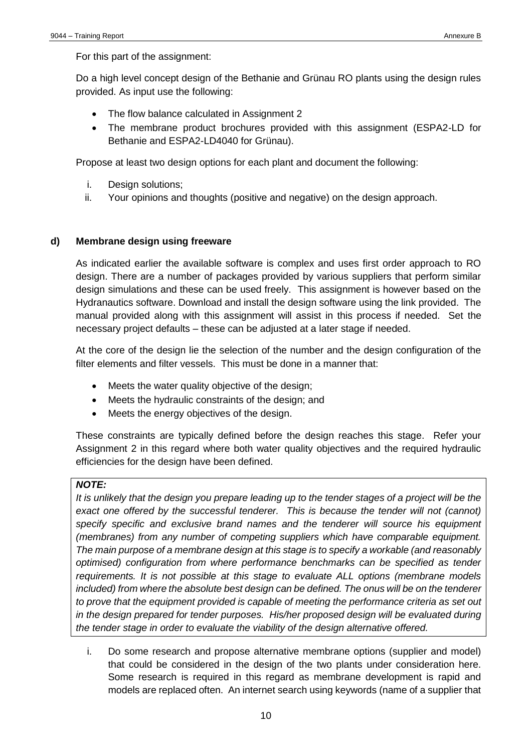For this part of the assignment:

Do a high level concept design of the Bethanie and Grünau RO plants using the design rules provided. As input use the following:

- The flow balance calculated in Assignment 2
- The membrane product brochures provided with this assignment (ESPA2-LD for Bethanie and ESPA2-LD4040 for Grünau).

Propose at least two design options for each plant and document the following:

- i. Design solutions;
- ii. Your opinions and thoughts (positive and negative) on the design approach.

#### **d) Membrane design using freeware**

As indicated earlier the available software is complex and uses first order approach to RO design. There are a number of packages provided by various suppliers that perform similar design simulations and these can be used freely. This assignment is however based on the Hydranautics software. Download and install the design software using the link provided. The manual provided along with this assignment will assist in this process if needed. Set the necessary project defaults – these can be adjusted at a later stage if needed.

At the core of the design lie the selection of the number and the design configuration of the filter elements and filter vessels. This must be done in a manner that:

- Meets the water quality objective of the design;
- Meets the hydraulic constraints of the design; and
- Meets the energy objectives of the design.

These constraints are typically defined before the design reaches this stage. Refer your Assignment 2 in this regard where both water quality objectives and the required hydraulic efficiencies for the design have been defined.

#### *NOTE:*

It is unlikely that the design you prepare leading up to the tender stages of a project will be the exact one offered by the successful tenderer. This is because the tender will not (cannot) *specify specific and exclusive brand names and the tenderer will source his equipment (membranes) from any number of competing suppliers which have comparable equipment. The main purpose of a membrane design at this stage is to specify a workable (and reasonably optimised) configuration from where performance benchmarks can be specified as tender requirements. It is not possible at this stage to evaluate ALL options (membrane models included) from where the absolute best design can be defined. The onus will be on the tenderer to prove that the equipment provided is capable of meeting the performance criteria as set out in the design prepared for tender purposes. His/her proposed design will be evaluated during the tender stage in order to evaluate the viability of the design alternative offered.*

i. Do some research and propose alternative membrane options (supplier and model) that could be considered in the design of the two plants under consideration here. Some research is required in this regard as membrane development is rapid and models are replaced often. An internet search using keywords (name of a supplier that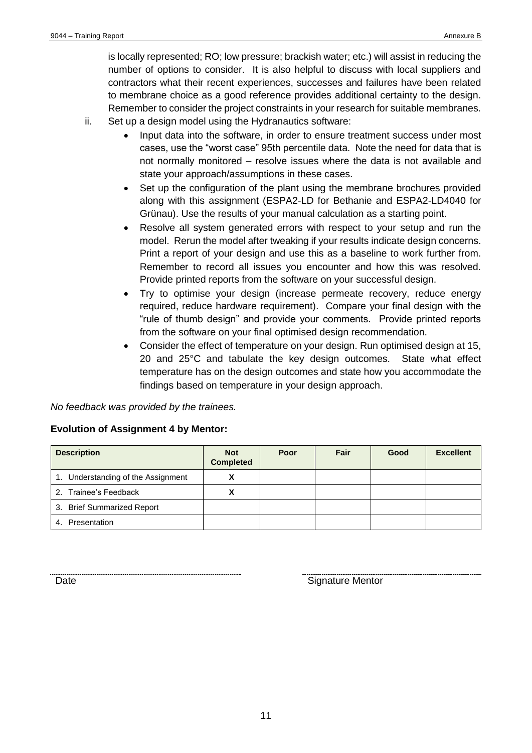is locally represented; RO; low pressure; brackish water; etc.) will assist in reducing the number of options to consider. It is also helpful to discuss with local suppliers and contractors what their recent experiences, successes and failures have been related to membrane choice as a good reference provides additional certainty to the design. Remember to consider the project constraints in your research for suitable membranes.

- ii. Set up a design model using the Hydranautics software:
	- Input data into the software, in order to ensure treatment success under most cases, use the "worst case" 95th percentile data. Note the need for data that is not normally monitored – resolve issues where the data is not available and state your approach/assumptions in these cases.
	- Set up the configuration of the plant using the membrane brochures provided along with this assignment (ESPA2-LD for Bethanie and ESPA2-LD4040 for Grünau). Use the results of your manual calculation as a starting point.
	- Resolve all system generated errors with respect to your setup and run the model. Rerun the model after tweaking if your results indicate design concerns. Print a report of your design and use this as a baseline to work further from. Remember to record all issues you encounter and how this was resolved. Provide printed reports from the software on your successful design.
	- Try to optimise your design (increase permeate recovery, reduce energy required, reduce hardware requirement). Compare your final design with the "rule of thumb design" and provide your comments. Provide printed reports from the software on your final optimised design recommendation.
	- Consider the effect of temperature on your design. Run optimised design at 15, 20 and 25°C and tabulate the key design outcomes. State what effect temperature has on the design outcomes and state how you accommodate the findings based on temperature in your design approach.

*No feedback was provided by the trainees.*

#### **Evolution of Assignment 4 by Mentor:**

| <b>Description</b>                 | <b>Not</b><br><b>Completed</b> | Poor | Fair | Good | <b>Excellent</b> |
|------------------------------------|--------------------------------|------|------|------|------------------|
| 1. Understanding of the Assignment |                                |      |      |      |                  |
| 2. Trainee's Feedback              |                                |      |      |      |                  |
| 3. Brief Summarized Report         |                                |      |      |      |                  |
| 4. Presentation                    |                                |      |      |      |                  |

**Signature Mentor**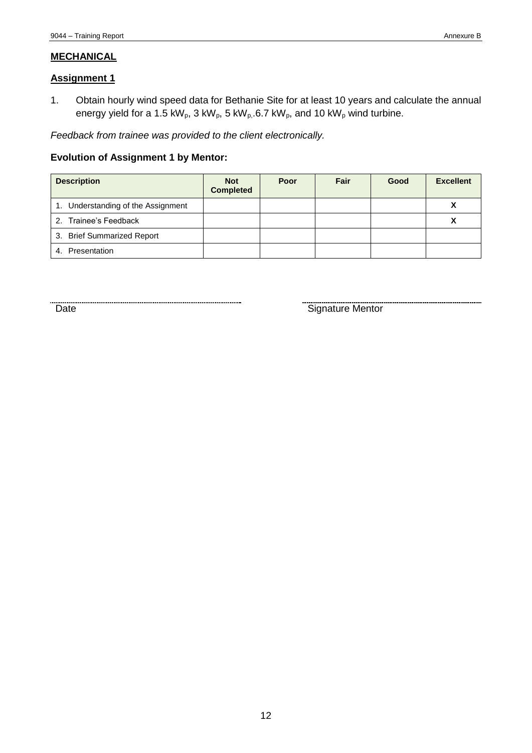#### **MECHANICAL**

#### **Assignment 1**

1. Obtain hourly wind speed data for Bethanie Site for at least 10 years and calculate the annual energy yield for a 1.5 kW<sub>p</sub>, 3 kW<sub>p</sub>, 5 kW<sub>p</sub>, 6.7 kW<sub>p</sub>, and 10 kW<sub>p</sub> wind turbine.

*Feedback from trainee was provided to the client electronically.*

#### **Evolution of Assignment 1 by Mentor:**

| <b>Description</b>                 | <b>Not</b><br><b>Completed</b> | Poor | Fair | Good | <b>Excellent</b> |
|------------------------------------|--------------------------------|------|------|------|------------------|
| 1. Understanding of the Assignment |                                |      |      |      | v<br>Λ           |
| 2. Trainee's Feedback              |                                |      |      |      |                  |
| 3. Brief Summarized Report         |                                |      |      |      |                  |
| Presentation<br>4.                 |                                |      |      |      |                  |

Date Signature Mentor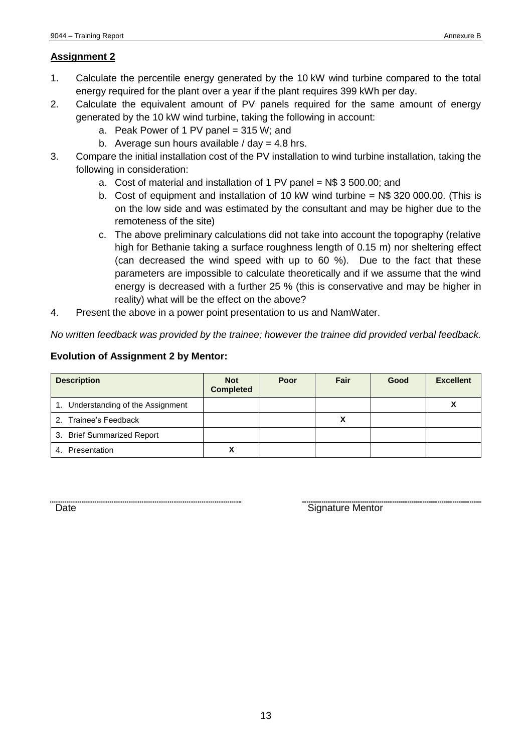- 1. Calculate the percentile energy generated by the 10 kW wind turbine compared to the total energy required for the plant over a year if the plant requires 399 kWh per day.
- 2. Calculate the equivalent amount of PV panels required for the same amount of energy generated by the 10 kW wind turbine, taking the following in account:
	- a. Peak Power of 1 PV panel =  $315 W$ ; and
	- b. Average sun hours available  $/$  day = 4.8 hrs.
- 3. Compare the initial installation cost of the PV installation to wind turbine installation, taking the following in consideration:
	- a. Cost of material and installation of 1 PV panel = N\$ 3 500.00; and
	- b. Cost of equipment and installation of 10 kW wind turbine = N\$ 320 000.00. (This is on the low side and was estimated by the consultant and may be higher due to the remoteness of the site)
	- c. The above preliminary calculations did not take into account the topography (relative high for Bethanie taking a surface roughness length of 0.15 m) nor sheltering effect (can decreased the wind speed with up to 60 %). Due to the fact that these parameters are impossible to calculate theoretically and if we assume that the wind energy is decreased with a further 25 % (this is conservative and may be higher in reality) what will be the effect on the above?
- 4. Present the above in a power point presentation to us and NamWater.

*No written feedback was provided by the trainee; however the trainee did provided verbal feedback.*

#### **Evolution of Assignment 2 by Mentor:**

| <b>Description</b>                 | <b>Not</b><br><b>Completed</b> | Poor | Fair | Good | <b>Excellent</b> |
|------------------------------------|--------------------------------|------|------|------|------------------|
| 1. Understanding of the Assignment |                                |      |      |      |                  |
| 2. Trainee's Feedback              |                                |      |      |      |                  |
| 3. Brief Summarized Report         |                                |      |      |      |                  |
| Presentation<br>4.                 |                                |      |      |      |                  |

Date **Signature Mentor** Signature Mentor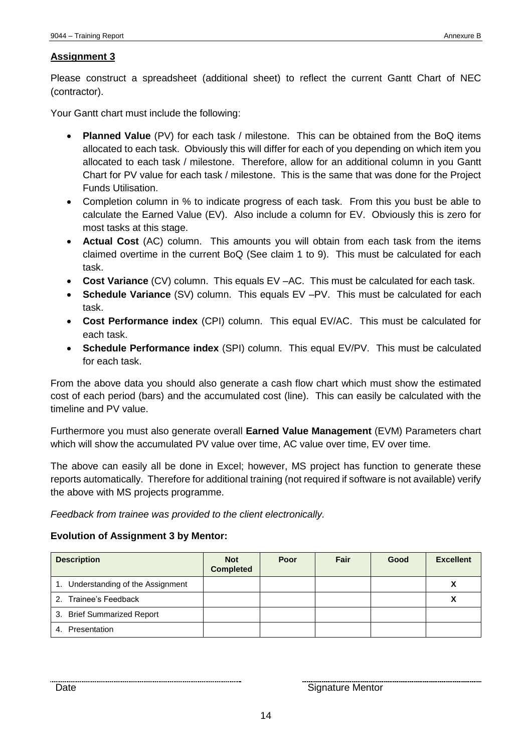Please construct a spreadsheet (additional sheet) to reflect the current Gantt Chart of NEC (contractor).

Your Gantt chart must include the following:

- **Planned Value** (PV) for each task / milestone. This can be obtained from the BoQ items allocated to each task. Obviously this will differ for each of you depending on which item you allocated to each task / milestone. Therefore, allow for an additional column in you Gantt Chart for PV value for each task / milestone. This is the same that was done for the Project Funds Utilisation.
- Completion column in % to indicate progress of each task. From this you bust be able to calculate the Earned Value (EV). Also include a column for EV. Obviously this is zero for most tasks at this stage.
- **Actual Cost** (AC) column. This amounts you will obtain from each task from the items claimed overtime in the current BoQ (See claim 1 to 9). This must be calculated for each task.
- **Cost Variance** (CV) column. This equals EV –AC. This must be calculated for each task.
- **Schedule Variance** (SV) column. This equals EV –PV. This must be calculated for each task.
- **Cost Performance index** (CPI) column. This equal EV/AC. This must be calculated for each task.
- **Schedule Performance index** (SPI) column. This equal EV/PV. This must be calculated for each task.

From the above data you should also generate a cash flow chart which must show the estimated cost of each period (bars) and the accumulated cost (line). This can easily be calculated with the timeline and PV value.

Furthermore you must also generate overall **Earned Value Management** (EVM) Parameters chart which will show the accumulated PV value over time, AC value over time, EV over time.

The above can easily all be done in Excel; however, MS project has function to generate these reports automatically. Therefore for additional training (not required if software is not available) verify the above with MS projects programme.

*Feedback from trainee was provided to the client electronically.*

#### **Evolution of Assignment 3 by Mentor:**

| <b>Description</b>                 | <b>Not</b><br><b>Completed</b> | Poor | Fair | Good | <b>Excellent</b> |
|------------------------------------|--------------------------------|------|------|------|------------------|
| 1. Understanding of the Assignment |                                |      |      |      | Λ                |
| 2. Trainee's Feedback              |                                |      |      |      |                  |
| 3. Brief Summarized Report         |                                |      |      |      |                  |
| Presentation<br>4.                 |                                |      |      |      |                  |

Date **Signature Mentor**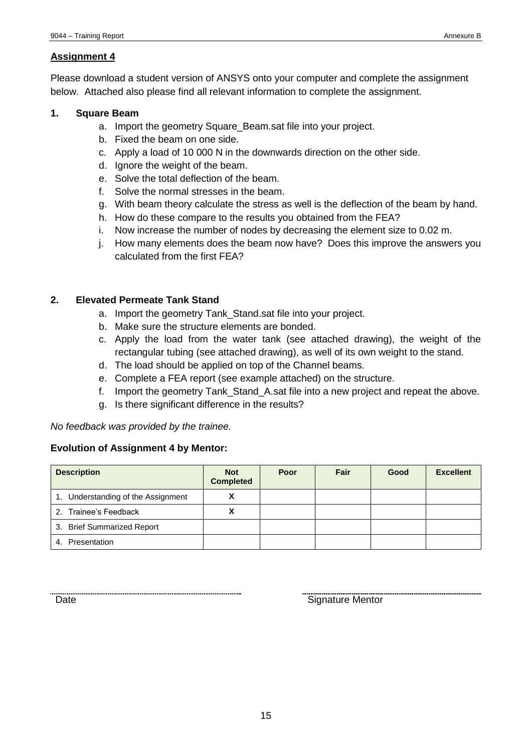Please download a student version of ANSYS onto your computer and complete the assignment below. Attached also please find all relevant information to complete the assignment.

#### **1. Square Beam**

- a. Import the geometry Square\_Beam.sat file into your project.
- b. Fixed the beam on one side.
- c. Apply a load of 10 000 N in the downwards direction on the other side.
- d. Ignore the weight of the beam.
- e. Solve the total deflection of the beam.
- f. Solve the normal stresses in the beam.
- g. With beam theory calculate the stress as well is the deflection of the beam by hand.
- h. How do these compare to the results you obtained from the FEA?
- i. Now increase the number of nodes by decreasing the element size to 0.02 m.
- j. How many elements does the beam now have? Does this improve the answers you calculated from the first FEA?

#### **2. Elevated Permeate Tank Stand**

- a. Import the geometry Tank\_Stand.sat file into your project.
- b. Make sure the structure elements are bonded.
- c. Apply the load from the water tank (see attached drawing), the weight of the rectangular tubing (see attached drawing), as well of its own weight to the stand.
- d. The load should be applied on top of the Channel beams.
- e. Complete a FEA report (see example attached) on the structure.
- f. Import the geometry Tank\_Stand\_A.sat file into a new project and repeat the above.
- g. Is there significant difference in the results?

*No feedback was provided by the trainee.*

#### **Evolution of Assignment 4 by Mentor:**

| <b>Description</b>                 | <b>Not</b><br><b>Completed</b> | Poor | Fair | Good | <b>Excellent</b> |
|------------------------------------|--------------------------------|------|------|------|------------------|
| 1. Understanding of the Assignment |                                |      |      |      |                  |
| 2. Trainee's Feedback              |                                |      |      |      |                  |
| 3. Brief Summarized Report         |                                |      |      |      |                  |
| Presentation<br>4.                 |                                |      |      |      |                  |

Date **Signature Mentor**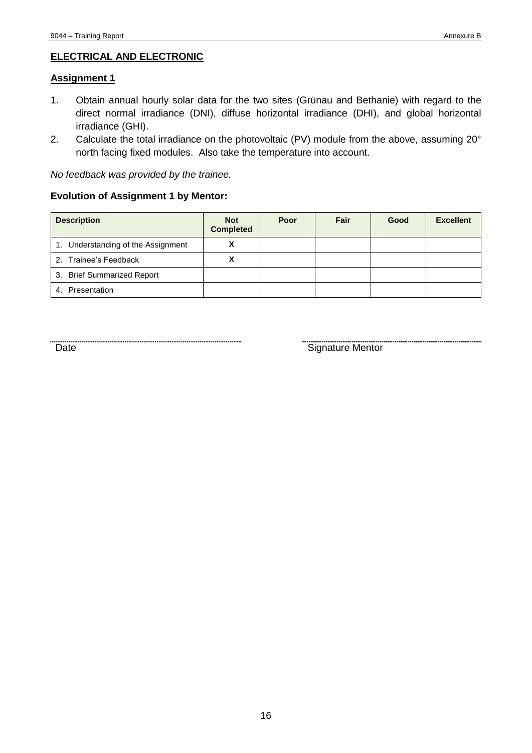#### **ELECTRICAL AND ELECTRONIC**

#### **Assignment 1**

- 1. Obtain annual hourly solar data for the two sites (Grünau and Bethanie) with regard to the direct normal irradiance (DNI), diffuse horizontal irradiance (DHI), and global horizontal irradiance (GHI).
- 2. Calculate the total irradiance on the photovoltaic (PV) module from the above, assuming 20° north facing fixed modules. Also take the temperature into account.

*No feedback was provided by the trainee.*

#### **Evolution of Assignment 1 by Mentor:**

| <b>Description</b>                 | <b>Not</b><br><b>Completed</b> | Poor | Fair | Good | <b>Excellent</b> |
|------------------------------------|--------------------------------|------|------|------|------------------|
| 1. Understanding of the Assignment |                                |      |      |      |                  |
| 2. Trainee's Feedback              |                                |      |      |      |                  |
| 3. Brief Summarized Report         |                                |      |      |      |                  |
| 4. Presentation                    |                                |      |      |      |                  |

of the Signature Mentor Correction of the Signature Mentor Correction of the Signature Mentor Correction of the Signature Mentor Correction of the Signature Mentor Correction of the Signature Mentor Correction of the Signa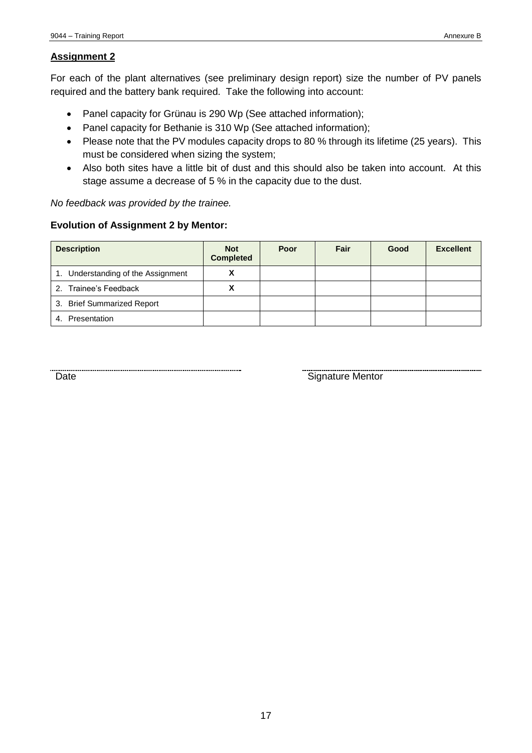For each of the plant alternatives (see preliminary design report) size the number of PV panels required and the battery bank required. Take the following into account:

- Panel capacity for Grünau is 290 Wp (See attached information);
- Panel capacity for Bethanie is 310 Wp (See attached information);
- Please note that the PV modules capacity drops to 80 % through its lifetime (25 years). This must be considered when sizing the system;
- Also both sites have a little bit of dust and this should also be taken into account. At this stage assume a decrease of 5 % in the capacity due to the dust.

*No feedback was provided by the trainee.*

#### **Evolution of Assignment 2 by Mentor:**

| <b>Description</b>                 | <b>Not</b><br><b>Completed</b> | Poor | Fair | Good | <b>Excellent</b> |
|------------------------------------|--------------------------------|------|------|------|------------------|
| 1. Understanding of the Assignment | Λ                              |      |      |      |                  |
| 2. Trainee's Feedback              |                                |      |      |      |                  |
| 3. Brief Summarized Report         |                                |      |      |      |                  |
| 4. Presentation                    |                                |      |      |      |                  |

Date **Signature Mentor**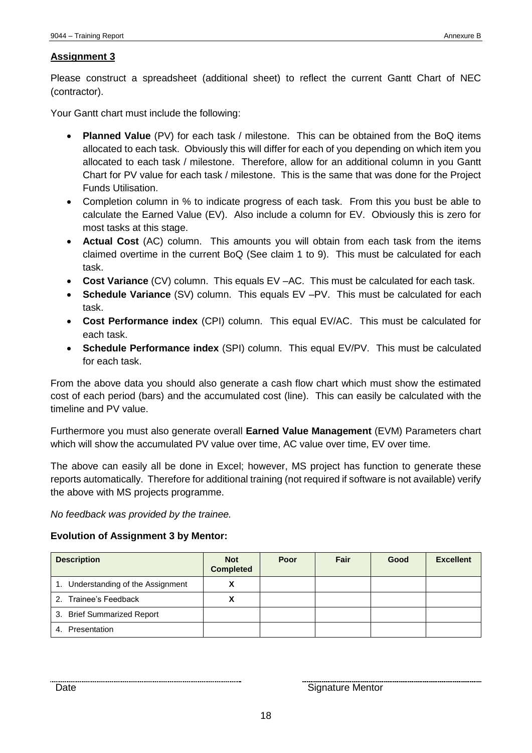Please construct a spreadsheet (additional sheet) to reflect the current Gantt Chart of NEC (contractor).

Your Gantt chart must include the following:

- **Planned Value** (PV) for each task / milestone. This can be obtained from the BoQ items allocated to each task. Obviously this will differ for each of you depending on which item you allocated to each task / milestone. Therefore, allow for an additional column in you Gantt Chart for PV value for each task / milestone. This is the same that was done for the Project Funds Utilisation.
- Completion column in % to indicate progress of each task. From this you bust be able to calculate the Earned Value (EV). Also include a column for EV. Obviously this is zero for most tasks at this stage.
- **Actual Cost** (AC) column. This amounts you will obtain from each task from the items claimed overtime in the current BoQ (See claim 1 to 9). This must be calculated for each task.
- **Cost Variance** (CV) column. This equals EV –AC. This must be calculated for each task.
- **Schedule Variance** (SV) column. This equals EV –PV. This must be calculated for each task.
- **Cost Performance index** (CPI) column. This equal EV/AC. This must be calculated for each task.
- **Schedule Performance index** (SPI) column. This equal EV/PV. This must be calculated for each task.

From the above data you should also generate a cash flow chart which must show the estimated cost of each period (bars) and the accumulated cost (line). This can easily be calculated with the timeline and PV value.

Furthermore you must also generate overall **Earned Value Management** (EVM) Parameters chart which will show the accumulated PV value over time, AC value over time, EV over time.

The above can easily all be done in Excel; however, MS project has function to generate these reports automatically. Therefore for additional training (not required if software is not available) verify the above with MS projects programme.

*No feedback was provided by the trainee.*

#### **Evolution of Assignment 3 by Mentor:**

| <b>Description</b>                 | <b>Not</b><br><b>Completed</b> | Poor | Fair | Good | <b>Excellent</b> |
|------------------------------------|--------------------------------|------|------|------|------------------|
| 1. Understanding of the Assignment |                                |      |      |      |                  |
| 2. Trainee's Feedback              |                                |      |      |      |                  |
| 3. Brief Summarized Report         |                                |      |      |      |                  |
| Presentation<br>4.                 |                                |      |      |      |                  |

Date **Signature Mentor** Signature Mentor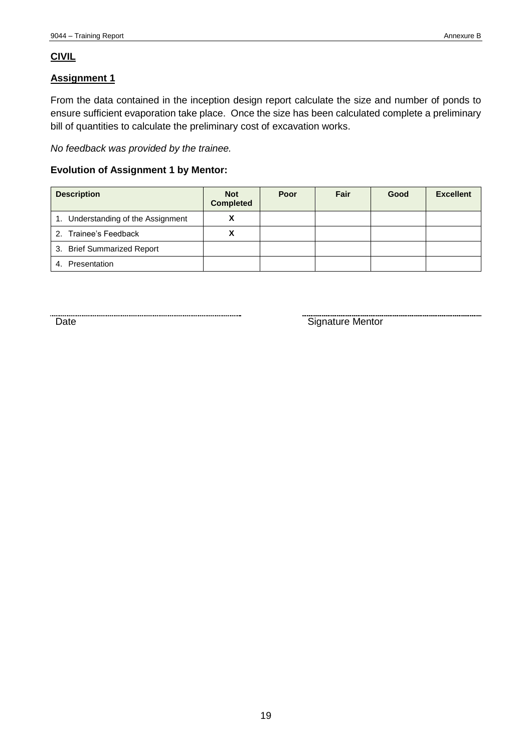#### **CIVIL**

#### **Assignment 1**

From the data contained in the inception design report calculate the size and number of ponds to ensure sufficient evaporation take place. Once the size has been calculated complete a preliminary bill of quantities to calculate the preliminary cost of excavation works.

*No feedback was provided by the trainee.*

#### **Evolution of Assignment 1 by Mentor:**

| <b>Description</b>                 | <b>Not</b><br><b>Completed</b> | Poor | Fair | Good | <b>Excellent</b> |
|------------------------------------|--------------------------------|------|------|------|------------------|
| 1. Understanding of the Assignment |                                |      |      |      |                  |
| 2. Trainee's Feedback              |                                |      |      |      |                  |
| 3. Brief Summarized Report         |                                |      |      |      |                  |
| Presentation<br>4.                 |                                |      |      |      |                  |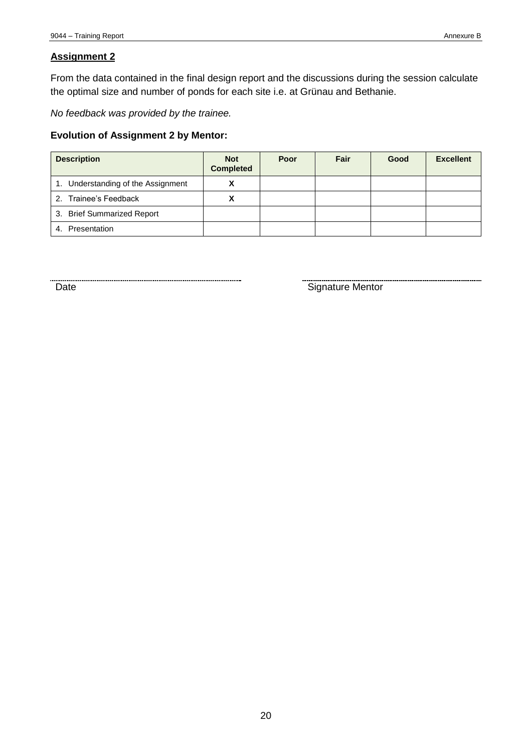From the data contained in the final design report and the discussions during the session calculate the optimal size and number of ponds for each site i.e. at Grünau and Bethanie.

*No feedback was provided by the trainee.*

#### **Evolution of Assignment 2 by Mentor:**

| <b>Description</b>                 | <b>Not</b><br><b>Completed</b> | Poor | Fair | Good | <b>Excellent</b> |
|------------------------------------|--------------------------------|------|------|------|------------------|
| 1. Understanding of the Assignment |                                |      |      |      |                  |
| 2. Trainee's Feedback              |                                |      |      |      |                  |
| 3. Brief Summarized Report         |                                |      |      |      |                  |
| 4. Presentation                    |                                |      |      |      |                  |

Example of the Signature Mentor Cate (Signature Mentor Cate of the Signature Mentor